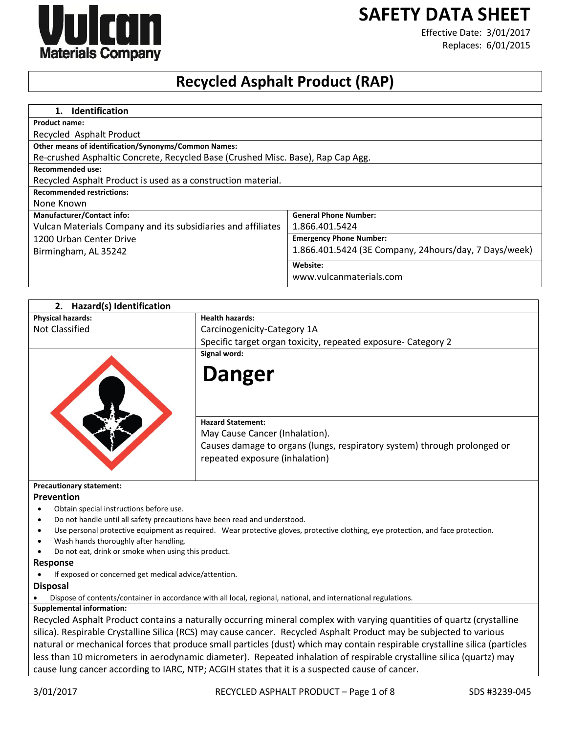# **SAFETY DATA SHEET**



Effective Date: 3/01/2017 Replaces: 6/01/2015

# **Recycled Asphalt Product (RAP)**

| Identification<br>1.                                                            |                                                       |
|---------------------------------------------------------------------------------|-------------------------------------------------------|
| <b>Product name:</b>                                                            |                                                       |
| Recycled Asphalt Product                                                        |                                                       |
| Other means of identification/Synonyms/Common Names:                            |                                                       |
| Re-crushed Asphaltic Concrete, Recycled Base (Crushed Misc. Base), Rap Cap Agg. |                                                       |
| <b>Recommended use:</b>                                                         |                                                       |
| Recycled Asphalt Product is used as a construction material.                    |                                                       |
| <b>Recommended restrictions:</b>                                                |                                                       |
| None Known                                                                      |                                                       |
| <b>Manufacturer/Contact info:</b>                                               | <b>General Phone Number:</b>                          |
| Vulcan Materials Company and its subsidiaries and affiliates                    | 1.866.401.5424                                        |
| 1200 Urban Center Drive                                                         | <b>Emergency Phone Number:</b>                        |
| Birmingham, AL 35242                                                            | 1.866.401.5424 (3E Company, 24hours/day, 7 Days/week) |
|                                                                                 | Website:                                              |
|                                                                                 | www.vulcanmaterials.com                               |

| Hazard(s) Identification<br>2.                                                         |                                                                                                                                  |
|----------------------------------------------------------------------------------------|----------------------------------------------------------------------------------------------------------------------------------|
| <b>Physical hazards:</b>                                                               | <b>Health hazards:</b>                                                                                                           |
| <b>Not Classified</b>                                                                  | Carcinogenicity-Category 1A                                                                                                      |
|                                                                                        | Specific target organ toxicity, repeated exposure- Category 2                                                                    |
|                                                                                        | Signal word:<br><b>Danger</b>                                                                                                    |
|                                                                                        | <b>Hazard Statement:</b>                                                                                                         |
|                                                                                        | May Cause Cancer (Inhalation).                                                                                                   |
|                                                                                        | Causes damage to organs (lungs, respiratory system) through prolonged or<br>repeated exposure (inhalation)                       |
| <b>Precautionary statement:</b>                                                        |                                                                                                                                  |
| Prevention                                                                             |                                                                                                                                  |
| Obtain special instructions before use.                                                |                                                                                                                                  |
| Do not handle until all safety precautions have been read and understood.<br>$\bullet$ |                                                                                                                                  |
| $\bullet$                                                                              | Use personal protective equipment as required. Wear protective gloves, protective clothing, eye protection, and face protection. |
| Wash hands thoroughly after handling.                                                  |                                                                                                                                  |
| Do not eat, drink or smoke when using this product.                                    |                                                                                                                                  |
| <b>Response</b><br>If exposed or concerned get medical advice/attention.               |                                                                                                                                  |
| <b>Disposal</b>                                                                        |                                                                                                                                  |
|                                                                                        | Dispose of contents/container in accordance with all local, regional, national, and international regulations.                   |
| <b>Supplemental information:</b>                                                       |                                                                                                                                  |
|                                                                                        | Recycled Asphalt Product contains a naturally occurring mineral complex with varying quantities of quartz (crystalline           |
|                                                                                        | silica). Respirable Crystalline Silica (RCS) may cause cancer. Recycled Asphalt Product may be subjected to various              |
|                                                                                        | natural or mechanical forces that produce small particles (dust) which may contain respirable crystalline silica (particles      |
|                                                                                        | less than 10 micrometers in aerodynamic diameter). Repeated inhalation of respirable crystalline silica (quartz) may             |
|                                                                                        | cause lung cancer according to IARC, NTP; ACGIH states that it is a suspected cause of cancer.                                   |
|                                                                                        |                                                                                                                                  |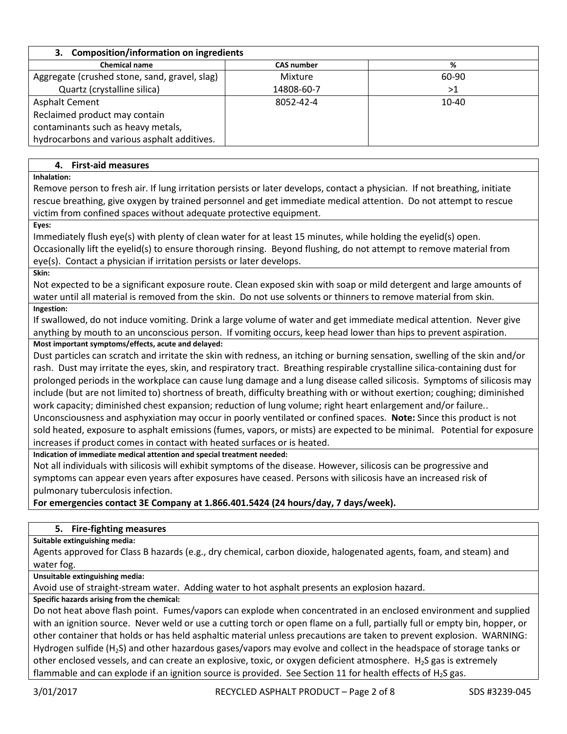| 3. Composition/information on ingredients     |                   |           |
|-----------------------------------------------|-------------------|-----------|
| <b>Chemical name</b>                          | <b>CAS number</b> | %         |
| Aggregate (crushed stone, sand, gravel, slag) | Mixture           | 60-90     |
| Quartz (crystalline silica)                   | 14808-60-7        | >1        |
| <b>Asphalt Cement</b>                         | 8052-42-4         | $10 - 40$ |
| Reclaimed product may contain                 |                   |           |
| contaminants such as heavy metals,            |                   |           |
| hydrocarbons and various asphalt additives.   |                   |           |

# **4. First-aid measures**

**Inhalation:** 

Remove person to fresh air. If lung irritation persists or later develops, contact a physician. If not breathing, initiate rescue breathing, give oxygen by trained personnel and get immediate medical attention. Do not attempt to rescue victim from confined spaces without adequate protective equipment.

**Eyes:** 

Immediately flush eye(s) with plenty of clean water for at least 15 minutes, while holding the eyelid(s) open. Occasionally lift the eyelid(s) to ensure thorough rinsing. Beyond flushing, do not attempt to remove material from eye(s). Contact a physician if irritation persists or later develops.

**Skin:** 

Not expected to be a significant exposure route. Clean exposed skin with soap or mild detergent and large amounts of water until all material is removed from the skin. Do not use solvents or thinners to remove material from skin. **Ingestion:** 

If swallowed, do not induce vomiting. Drink a large volume of water and get immediate medical attention. Never give anything by mouth to an unconscious person. If vomiting occurs, keep head lower than hips to prevent aspiration.

# **Most important symptoms/effects, acute and delayed:**

Dust particles can scratch and irritate the skin with redness, an itching or burning sensation, swelling of the skin and/or rash. Dust may irritate the eyes, skin, and respiratory tract. Breathing respirable crystalline silica-containing dust for prolonged periods in the workplace can cause lung damage and a lung disease called silicosis. Symptoms of silicosis may include (but are not limited to) shortness of breath, difficulty breathing with or without exertion; coughing; diminished work capacity; diminished chest expansion; reduction of lung volume; right heart enlargement and/or failure.. Unconsciousness and asphyxiation may occur in poorly ventilated or confined spaces. **Note:** Since this product is not sold heated, exposure to asphalt emissions (fumes, vapors, or mists) are expected to be minimal. Potential for exposure

increases if product comes in contact with heated surfaces or is heated.

**Indication of immediate medical attention and special treatment needed:**

Not all individuals with silicosis will exhibit symptoms of the disease. However, silicosis can be progressive and symptoms can appear even years after exposures have ceased. Persons with silicosis have an increased risk of pulmonary tuberculosis infection.

**For emergencies contact 3E Company at 1.866.401.5424 (24 hours/day, 7 days/week).**

# **5. Fire-fighting measures**

**Suitable extinguishing media:**

Agents approved for Class B hazards (e.g., dry chemical, carbon dioxide, halogenated agents, foam, and steam) and water fog.

**Unsuitable extinguishing media:**

Avoid use of straight-stream water. Adding water to hot asphalt presents an explosion hazard.

**Specific hazards arising from the chemical:**

Do not heat above flash point. Fumes/vapors can explode when concentrated in an enclosed environment and supplied with an ignition source. Never weld or use a cutting torch or open flame on a full, partially full or empty bin, hopper, or other container that holds or has held asphaltic material unless precautions are taken to prevent explosion. WARNING: Hydrogen sulfide (H<sub>2</sub>S) and other hazardous gases/vapors may evolve and collect in the headspace of storage tanks or other enclosed vessels, and can create an explosive, toxic, or oxygen deficient atmosphere. H2S gas is extremely flammable and can explode if an ignition source is provided. See Section 11 for health effects of  $H_2S$  gas.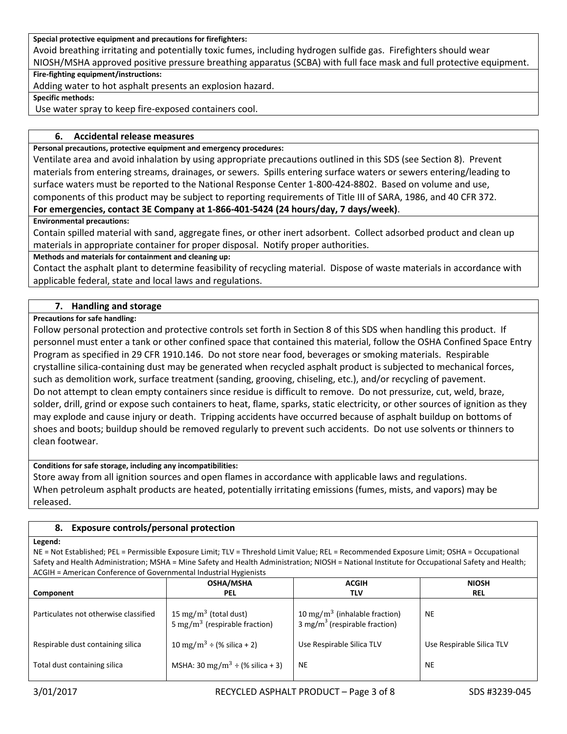#### **Special protective equipment and precautions for firefighters:**

Avoid breathing irritating and potentially toxic fumes, including hydrogen sulfide gas. Firefighters should wear NIOSH/MSHA approved positive pressure breathing apparatus (SCBA) with full face mask and full protective equipment.

#### **Fire-fighting equipment/instructions:**

Adding water to hot asphalt presents an explosion hazard.

**Specific methods:**

Use water spray to keep fire-exposed containers cool.

## **6. Accidental release measures**

#### **Personal precautions, protective equipment and emergency procedures:**

Ventilate area and avoid inhalation by using appropriate precautions outlined in this SDS (see Section 8). Prevent materials from entering streams, drainages, or sewers. Spills entering surface waters or sewers entering/leading to surface waters must be reported to the National Response Center 1-800-424-8802. Based on volume and use, components of this product may be subject to reporting requirements of Title III of SARA, 1986, and 40 CFR 372.

# **For emergencies, contact 3E Company at 1-866-401-5424 (24 hours/day, 7 days/week)**.

## **Environmental precautions:**

Contain spilled material with sand, aggregate fines, or other inert adsorbent. Collect adsorbed product and clean up materials in appropriate container for proper disposal. Notify proper authorities.

## **Methods and materials for containment and cleaning up:**

Contact the asphalt plant to determine feasibility of recycling material. Dispose of waste materials in accordance with applicable federal, state and local laws and regulations.

# **7. Handling and storage**

# **Precautions for safe handling:**

Follow personal protection and protective controls set forth in Section 8 of this SDS when handling this product. If personnel must enter a tank or other confined space that contained this material, follow the OSHA Confined Space Entry Program as specified in 29 CFR 1910.146. Do not store near food, beverages or smoking materials. Respirable crystalline silica-containing dust may be generated when recycled asphalt product is subjected to mechanical forces, such as demolition work, surface treatment (sanding, grooving, chiseling, etc.), and/or recycling of pavement. Do not attempt to clean empty containers since residue is difficult to remove. Do not pressurize, cut, weld, braze, solder, drill, grind or expose such containers to heat, flame, sparks, static electricity, or other sources of ignition as they may explode and cause injury or death. Tripping accidents have occurred because of asphalt buildup on bottoms of shoes and boots; buildup should be removed regularly to prevent such accidents. Do not use solvents or thinners to clean footwear.

## **Conditions for safe storage, including any incompatibilities:**

Store away from all ignition sources and open flames in accordance with applicable laws and regulations. When petroleum asphalt products are heated, potentially irritating emissions (fumes, mists, and vapors) may be released.

## **8. Exposure controls/personal protection**

# **Legend:**

NE = Not Established; PEL = Permissible Exposure Limit; TLV = Threshold Limit Value; REL = Recommended Exposure Limit; OSHA = Occupational Safety and Health Administration; MSHA = Mine Safety and Health Administration; NIOSH = National Institute for Occupational Safety and Health; ACGIH = American Conference of Governmental Industrial Hygienists

|                                       | <b>OSHA/MSHA</b>                                                               | <b>ACGIH</b>                                                                           | <b>NIOSH</b>              |
|---------------------------------------|--------------------------------------------------------------------------------|----------------------------------------------------------------------------------------|---------------------------|
| Component                             | <b>PEL</b>                                                                     | TLV                                                                                    | <b>REL</b>                |
| Particulates not otherwise classified | 15 mg/m <sup>3</sup> (total dust)<br>5 mg/m <sup>3</sup> (respirable fraction) | 10 mg/m <sup>3</sup> (inhalable fraction)<br>3 mg/m <sup>3</sup> (respirable fraction) | <b>NE</b>                 |
| Respirable dust containing silica     | 10 mg/m <sup>3</sup> ÷ (% silica + 2)                                          | Use Respirable Silica TLV                                                              | Use Respirable Silica TLV |
| Total dust containing silica          | MSHA: 30 mg/m <sup>3</sup> $\div$ (% silica + 3)                               | <b>NE</b>                                                                              | <b>NE</b>                 |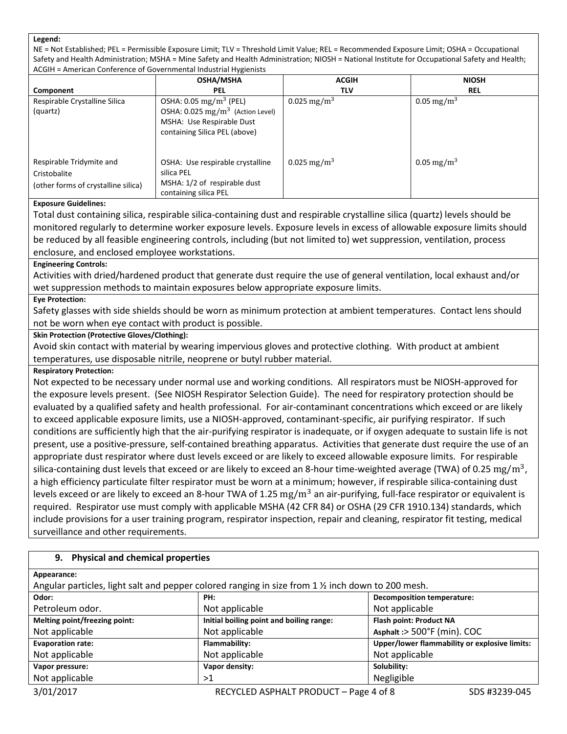#### **Legend:**

NE = Not Established; PEL = Permissible Exposure Limit; TLV = Threshold Limit Value; REL = Recommended Exposure Limit; OSHA = Occupational Safety and Health Administration; MSHA = Mine Safety and Health Administration; NIOSH = National Institute for Occupational Safety and Health; ACGIH = American Conference of Governmental Industrial Hygienists

|                                                                                 | <b>OSHA/MSHA</b>                                                                                                                                  | <b>ACGIH</b>            | <b>NIOSH</b>           |
|---------------------------------------------------------------------------------|---------------------------------------------------------------------------------------------------------------------------------------------------|-------------------------|------------------------|
| Component                                                                       | <b>PEL</b>                                                                                                                                        | TLV                     | <b>REL</b>             |
| Respirable Crystalline Silica<br>(quartz)                                       | OSHA: $0.05 \,\mathrm{mg/m^3}$ (PEL)<br>OSHA: $0.025 \text{ mg/m}^3$ (Action Level)<br>MSHA: Use Respirable Dust<br>containing Silica PEL (above) | 0.025 mg/m <sup>3</sup> | 0.05 mg/m <sup>3</sup> |
| Respirable Tridymite and<br>Cristobalite<br>(other forms of crystalline silica) | OSHA: Use respirable crystalline<br>silica PEL<br>MSHA: 1/2 of respirable dust<br>containing silica PEL                                           | 0.025 mg/m <sup>3</sup> | 0.05 mg/m <sup>3</sup> |

#### **Exposure Guidelines:**

Total dust containing silica, respirable silica-containing dust and respirable crystalline silica (quartz) levels should be monitored regularly to determine worker exposure levels. Exposure levels in excess of allowable exposure limits should be reduced by all feasible engineering controls, including (but not limited to) wet suppression, ventilation, process enclosure, and enclosed employee workstations.

#### **Engineering Controls:**

Activities with dried/hardened product that generate dust require the use of general ventilation, local exhaust and/or wet suppression methods to maintain exposures below appropriate exposure limits.

#### **Eye Protection:**

Safety glasses with side shields should be worn as minimum protection at ambient temperatures. Contact lens should not be worn when eye contact with product is possible.

#### **Skin Protection (Protective Gloves/Clothing):**

Avoid skin contact with material by wearing impervious gloves and protective clothing. With product at ambient temperatures, use disposable nitrile, neoprene or butyl rubber material.

#### **Respiratory Protection:**

Not expected to be necessary under normal use and working conditions. All respirators must be NIOSH-approved for the exposure levels present. (See NIOSH Respirator Selection Guide). The need for respiratory protection should be evaluated by a qualified safety and health professional. For air-contaminant concentrations which exceed or are likely to exceed applicable exposure limits, use a NIOSH-approved, contaminant-specific, air purifying respirator. If such conditions are sufficiently high that the air-purifying respirator is inadequate, or if oxygen adequate to sustain life is not present, use a positive-pressure, self-contained breathing apparatus. Activities that generate dust require the use of an appropriate dust respirator where dust levels exceed or are likely to exceed allowable exposure limits. For respirable silica-containing dust levels that exceed or are likely to exceed an 8-hour time-weighted average (TWA) of 0.25  $\rm mg/m^3$ , a high efficiency particulate filter respirator must be worn at a minimum; however, if respirable silica-containing dust levels exceed or are likely to exceed an 8-hour TWA of 1.25  $\rm mg/m^3$  an air-purifying, full-face respirator or equivalent is required. Respirator use must comply with applicable MSHA (42 CFR 84) or OSHA (29 CFR 1910.134) standards, which include provisions for a user training program, respirator inspection, repair and cleaning, respirator fit testing, medical surveillance and other requirements.

## **9. Physical and chemical properties**

| Appearance:                                                                                      |                                          |                                               |
|--------------------------------------------------------------------------------------------------|------------------------------------------|-----------------------------------------------|
| Angular particles, light salt and pepper colored ranging in size from 1 % inch down to 200 mesh. |                                          |                                               |
| Odor:                                                                                            | PH:                                      | <b>Decomposition temperature:</b>             |
| Petroleum odor.                                                                                  | Not applicable                           | Not applicable                                |
| Melting point/freezing point:                                                                    | Initial boiling point and boiling range: | Flash point: Product NA                       |
| Not applicable                                                                                   | Not applicable                           | Asphalt :> 500°F (min). COC                   |
| <b>Evaporation rate:</b>                                                                         | Flammability:                            | Upper/lower flammability or explosive limits: |
| Not applicable                                                                                   | Not applicable                           | Not applicable                                |
| Vapor pressure:                                                                                  | Vapor density:                           | Solubility:                                   |
| Not applicable                                                                                   | >1                                       | Negligible                                    |
| $\sim$ $\sim$ $\sim$ $\sim$ $\sim$                                                               | -----------------------                  | $\sim$ $\sim$<br>--- - ----- - - -            |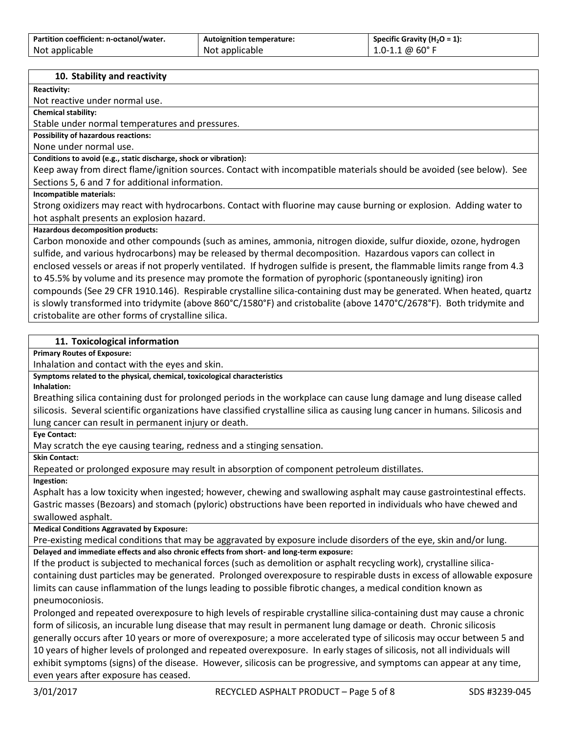| Partition coefficient: n-octanol/water. | <b>Autoignition temperature:</b> | Specific Gravity (H <sub>2</sub> O = 1): |
|-----------------------------------------|----------------------------------|------------------------------------------|
| Not applicable                          | Not applicable                   | $1.0 - 1.1 \& 60^{\circ}$ F              |

## **10. Stability and reactivity**

**Reactivity:**

Not reactive under normal use.

**Chemical stability:**

Stable under normal temperatures and pressures.

**Possibility of hazardous reactions:** 

None under normal use.

**Conditions to avoid (e.g., static discharge, shock or vibration):**

Keep away from direct flame/ignition sources. Contact with incompatible materials should be avoided (see below). See Sections 5, 6 and 7 for additional information.

**Incompatible materials:**

Strong oxidizers may react with hydrocarbons. Contact with fluorine may cause burning or explosion. Adding water to hot asphalt presents an explosion hazard.

## **Hazardous decomposition products:**

Carbon monoxide and other compounds (such as amines, ammonia, nitrogen dioxide, sulfur dioxide, ozone, hydrogen sulfide, and various hydrocarbons) may be released by thermal decomposition. Hazardous vapors can collect in enclosed vessels or areas if not properly ventilated. If hydrogen sulfide is present, the flammable limits range from 4.3 to 45.5% by volume and its presence may promote the formation of pyrophoric (spontaneously igniting) iron compounds (See 29 CFR 1910.146). Respirable crystalline silica-containing dust may be generated. When heated, quartz is slowly transformed into tridymite (above 860°C/1580°F) and cristobalite (above 1470°C/2678°F). Both tridymite and cristobalite are other forms of crystalline silica.

# **11. Toxicological information**

**Primary Routes of Exposure:**

Inhalation and contact with the eyes and skin.

## **Symptoms related to the physical, chemical, toxicological characteristics**

**Inhalation:**

Breathing silica containing dust for prolonged periods in the workplace can cause lung damage and lung disease called silicosis. Several scientific organizations have classified crystalline silica as causing lung cancer in humans. Silicosis and lung cancer can result in permanent injury or death.

**Eye Contact:**

May scratch the eye causing tearing, redness and a stinging sensation.

**Skin Contact:** Repeated or prolonged exposure may result in absorption of component petroleum distillates.

**Ingestion:**

Asphalt has a low toxicity when ingested; however, chewing and swallowing asphalt may cause gastrointestinal effects. Gastric masses (Bezoars) and stomach (pyloric) obstructions have been reported in individuals who have chewed and swallowed asphalt.

**Medical Conditions Aggravated by Exposure:**

Pre-existing medical conditions that may be aggravated by exposure include disorders of the eye, skin and/or lung. **Delayed and immediate effects and also chronic effects from short- and long-term exposure:**

If the product is subjected to mechanical forces (such as demolition or asphalt recycling work), crystalline silicacontaining dust particles may be generated. Prolonged overexposure to respirable dusts in excess of allowable exposure limits can cause inflammation of the lungs leading to possible fibrotic changes, a medical condition known as pneumoconiosis.

Prolonged and repeated overexposure to high levels of respirable crystalline silica-containing dust may cause a chronic form of silicosis, an incurable lung disease that may result in permanent lung damage or death. Chronic silicosis generally occurs after 10 years or more of overexposure; a more accelerated type of silicosis may occur between 5 and 10 years of higher levels of prolonged and repeated overexposure. In early stages of silicosis, not all individuals will exhibit symptoms (signs) of the disease. However, silicosis can be progressive, and symptoms can appear at any time, even years after exposure has ceased.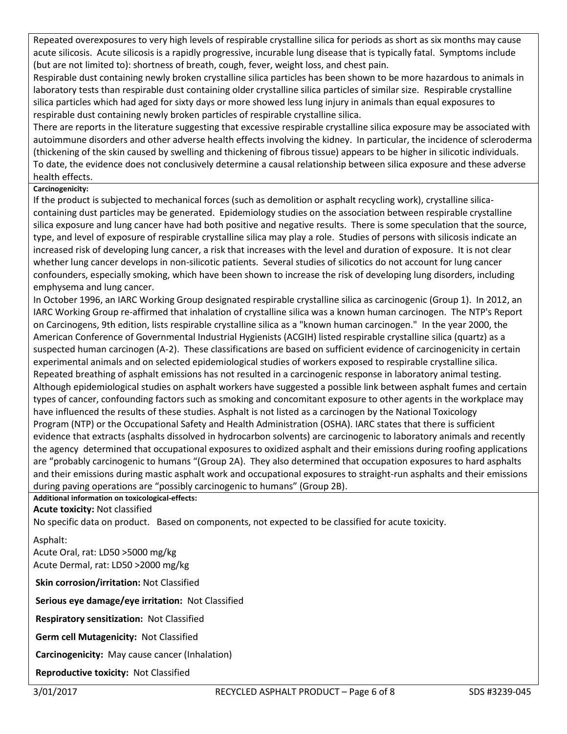Repeated overexposures to very high levels of respirable crystalline silica for periods as short as six months may cause acute silicosis. Acute silicosis is a rapidly progressive, incurable lung disease that is typically fatal. Symptoms include (but are not limited to): shortness of breath, cough, fever, weight loss, and chest pain.

Respirable dust containing newly broken crystalline silica particles has been shown to be more hazardous to animals in laboratory tests than respirable dust containing older crystalline silica particles of similar size. Respirable crystalline silica particles which had aged for sixty days or more showed less lung injury in animals than equal exposures to respirable dust containing newly broken particles of respirable crystalline silica.

There are reports in the literature suggesting that excessive respirable crystalline silica exposure may be associated with autoimmune disorders and other adverse health effects involving the kidney. In particular, the incidence of scleroderma (thickening of the skin caused by swelling and thickening of fibrous tissue) appears to be higher in silicotic individuals. To date, the evidence does not conclusively determine a causal relationship between silica exposure and these adverse health effects.

# **Carcinogenicity:**

If the product is subjected to mechanical forces (such as demolition or asphalt recycling work), crystalline silicacontaining dust particles may be generated. Epidemiology studies on the association between respirable crystalline silica exposure and lung cancer have had both positive and negative results. There is some speculation that the source, type, and level of exposure of respirable crystalline silica may play a role. Studies of persons with silicosis indicate an increased risk of developing lung cancer, a risk that increases with the level and duration of exposure. It is not clear whether lung cancer develops in non-silicotic patients. Several studies of silicotics do not account for lung cancer confounders, especially smoking, which have been shown to increase the risk of developing lung disorders, including emphysema and lung cancer.

In October 1996, an IARC Working Group designated respirable crystalline silica as carcinogenic (Group 1). In 2012, an IARC Working Group re-affirmed that inhalation of crystalline silica was a known human carcinogen. The NTP's Report on Carcinogens, 9th edition, lists respirable crystalline silica as a "known human carcinogen." In the year 2000, the American Conference of Governmental Industrial Hygienists (ACGIH) listed respirable crystalline silica (quartz) as a suspected human carcinogen (A-2). These classifications are based on sufficient evidence of carcinogenicity in certain experimental animals and on selected epidemiological studies of workers exposed to respirable crystalline silica. Repeated breathing of asphalt emissions has not resulted in a carcinogenic response in laboratory animal testing. Although epidemiological studies on asphalt workers have suggested a possible link between asphalt fumes and certain types of cancer, confounding factors such as smoking and concomitant exposure to other agents in the workplace may have influenced the results of these studies. Asphalt is not listed as a carcinogen by the National Toxicology Program (NTP) or the Occupational Safety and Health Administration (OSHA). IARC states that there is sufficient evidence that extracts (asphalts dissolved in hydrocarbon solvents) are carcinogenic to laboratory animals and recently the agency determined that occupational exposures to oxidized asphalt and their emissions during roofing applications are "probably carcinogenic to humans "(Group 2A). They also determined that occupation exposures to hard asphalts and their emissions during mastic asphalt work and occupational exposures to straight-run asphalts and their emissions during paving operations are "possibly carcinogenic to humans" (Group 2B).

# **Additional information on toxicological-effects:**

# **Acute toxicity:** Not classified

No specific data on product. Based on components, not expected to be classified for acute toxicity.

# Asphalt:

Acute Oral, rat: LD50 >5000 mg/kg Acute Dermal, rat: LD50 >2000 mg/kg

**Skin corrosion/irritation:** Not Classified

**Serious eye damage/eye irritation:** Not Classified

**Respiratory sensitization:** Not Classified

**Germ cell Mutagenicity:** Not Classified

**Carcinogenicity:** May cause cancer (Inhalation)

**Reproductive toxicity:** Not Classified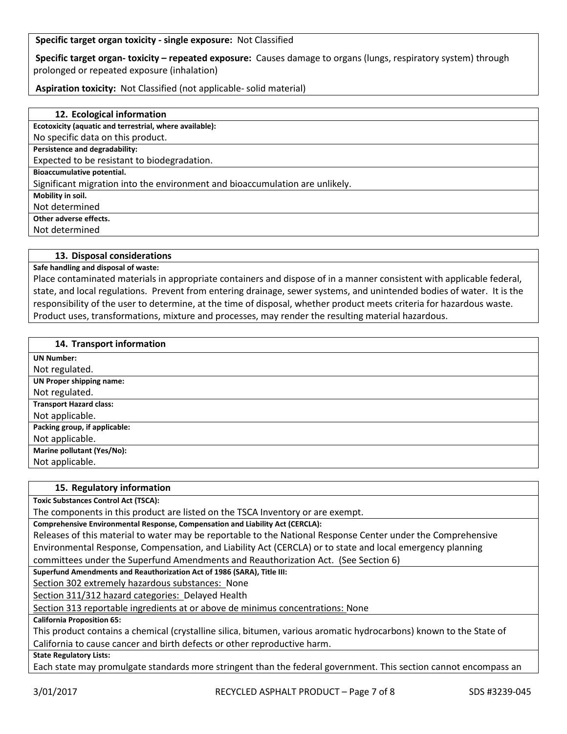**Specific target organ toxicity - single exposure:** Not Classified

**Specific target organ- toxicity – repeated exposure:** Causes damage to organs (lungs, respiratory system) through prolonged or repeated exposure (inhalation)

**Aspiration toxicity:** Not Classified (not applicable- solid material)

| 12. Ecological information                                                   |
|------------------------------------------------------------------------------|
| Ecotoxicity (aquatic and terrestrial, where available):                      |
| No specific data on this product.                                            |
| Persistence and degradability:                                               |
| Expected to be resistant to biodegradation.                                  |
| Bioaccumulative potential.                                                   |
| Significant migration into the environment and bioaccumulation are unlikely. |
| Mobility in soil.                                                            |
| Not determined                                                               |
| Other adverse effects.                                                       |
| Not determined                                                               |
|                                                                              |

## **13. Disposal considerations**

**Safe handling and disposal of waste:**

Place contaminated materials in appropriate containers and dispose of in a manner consistent with applicable federal, state, and local regulations. Prevent from entering drainage, sewer systems, and unintended bodies of water. It is the responsibility of the user to determine, at the time of disposal, whether product meets criteria for hazardous waste. Product uses, transformations, mixture and processes, may render the resulting material hazardous.

#### **14. Transport information**

| <b>UN Number:</b>              |
|--------------------------------|
| Not regulated.                 |
| UN Proper shipping name:       |
| Not regulated.                 |
| <b>Transport Hazard class:</b> |
| Not applicable.                |
| Packing group, if applicable:  |
| Not applicable.                |
| Marine pollutant (Yes/No):     |
| Not applicable.                |

#### **15. Regulatory information**

**Toxic Substances Control Act (TSCA):**

The components in this product are listed on the TSCA Inventory or are exempt.

**Comprehensive Environmental Response, Compensation and Liability Act (CERCLA):**

Releases of this material to water may be reportable to the National Response Center under the Comprehensive Environmental Response, Compensation, and Liability Act (CERCLA) or to state and local emergency planning committees under the Superfund Amendments and Reauthorization Act. (See Section 6)

**Superfund Amendments and Reauthorization Act of 1986 (SARA), Title III:**

Section 302 extremely hazardous substances: None

Section 311/312 hazard categories: Delayed Health

Section 313 reportable ingredients at or above de minimus concentrations: None

**California Proposition 65:**

This product contains a chemical (crystalline silica, bitumen, various aromatic hydrocarbons) known to the State of California to cause cancer and birth defects or other reproductive harm.

**State Regulatory Lists:**

Each state may promulgate standards more stringent than the federal government. This section cannot encompass an